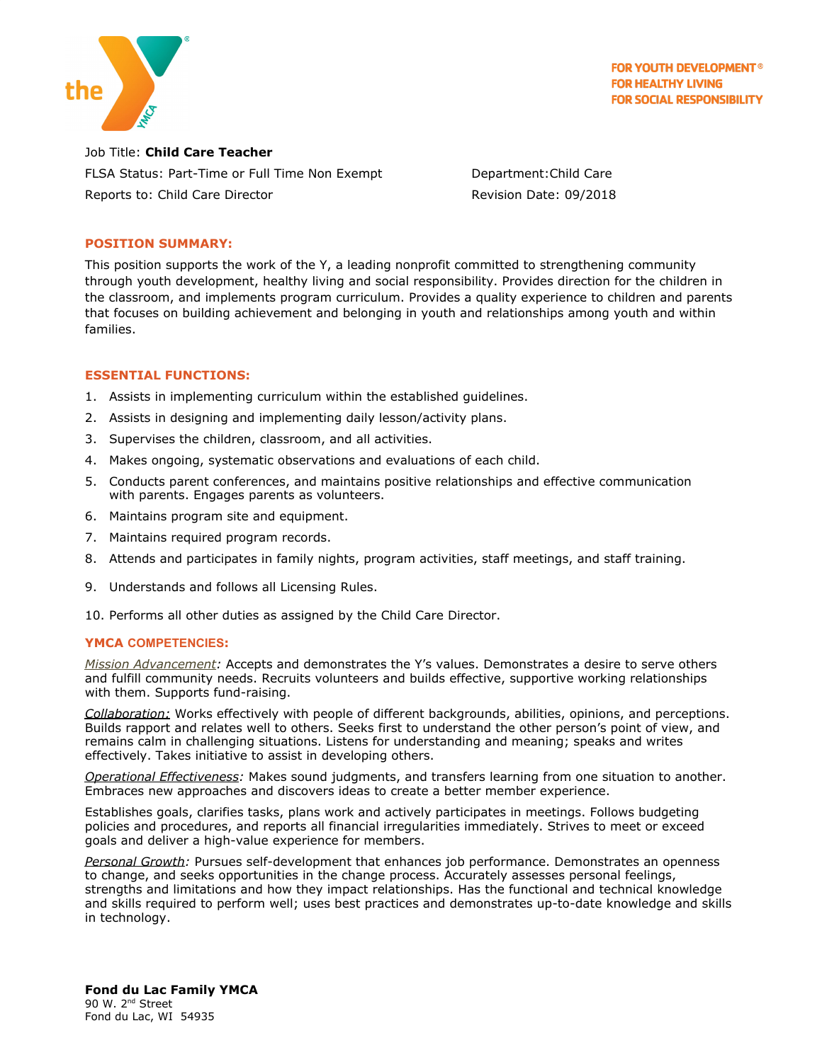

**FOR YOUTH DEVELOPMENT® FOR HEALTHY LIVING FOR SOCIAL RESPONSIBILITY** 

Job Title: **Child Care Teacher** FLSA Status: Part-Time or Full Time Non Exempt Department:Child Care Reports to: Child Care Director **Revision Date: 09/2018** 

# **POSITION SUMMARY:**

This position supports the work of the Y, a leading nonprofit committed to strengthening community through youth development, healthy living and social responsibility. Provides direction for the children in the classroom, and implements program curriculum. Provides a quality experience to children and parents that focuses on building [a](https://yexchange.org/Well-Being/Pages/Achievement.aspx)chievement and belonging in youth and relationships among youth and within families.

## **ESSENTIAL FUNCTIONS:**

- 1. Assists in implementing curriculum within the established guidelines.
- 2. Assists in designing and implementing daily lesson/activity plans.
- 3. Supervises the children, classroom, and all activities.
- 4. Makes ongoing, systematic observations and evaluations of each child.
- 5. Conducts parent conferences, and maintains positive relationships and effective communication with parents. Engages parents as volunteers.
- 6. Maintains program site and equipment.
- 7. Maintains required program records.
- 8. Attends and participates in family nights, program activities, staff meetings, and staff training.
- 9. Understands and follows all Licensing Rules.
- 10. Performs all other duties as assigned by the Child Care Director.

## **YMCA COMPETENCIES:**

*Mission Advancement:* Accepts and demonstrates the Y's values. Demonstrates a desire to serve others and fulfill community needs. Recruits volunteers and builds effective, supportive working relationships with them. Supports fund-raising.

*Collaboration:* Works effectively with people of different backgrounds, abilities, opinions, and perceptions. Builds rapport and relates well to others. Seeks first to understand the other person's point of view, and remains calm in challenging situations. Listens for understanding and meaning; speaks and writes effectively. Takes initiative to assist in developing others.

*Operational Effectiveness:* Makes sound judgments, and transfers learning from one situation to another. Embraces new approaches and discovers ideas to create a better member experience.

Establishes goals, clarifies tasks, plans work and actively participates in meetings. Follows budgeting policies and procedures, and reports all financial irregularities immediately. Strives to meet or exceed goals and deliver a high-value experience for members.

*Personal Growth:* Pursues self-development that enhances job performance. Demonstrates an openness to change, and seeks opportunities in the change process. Accurately assesses personal feelings, strengths and limitations and how they impact relationships. Has the functional and technical knowledge and skills required to perform well; uses best practices and demonstrates up-to-date knowledge and skills in technology.